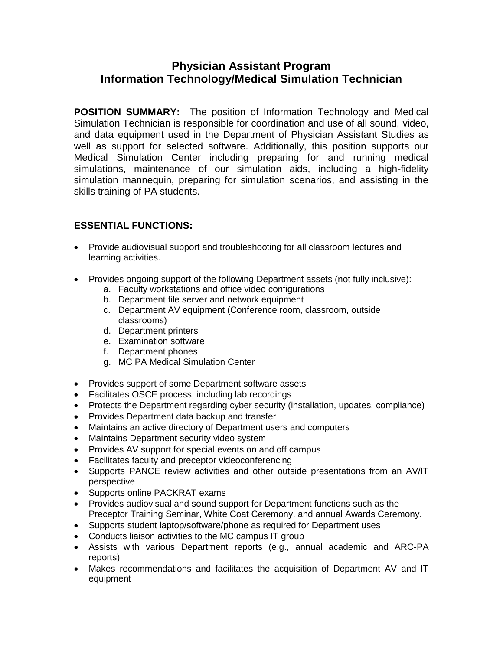# **Physician Assistant Program Information Technology/Medical Simulation Technician**

**POSITION SUMMARY:** The position of Information Technology and Medical Simulation Technician is responsible for coordination and use of all sound, video, and data equipment used in the Department of Physician Assistant Studies as well as support for selected software. Additionally, this position supports our Medical Simulation Center including preparing for and running medical simulations, maintenance of our simulation aids, including a high-fidelity simulation mannequin, preparing for simulation scenarios, and assisting in the skills training of PA students.

## **ESSENTIAL FUNCTIONS:**

- Provide audiovisual support and troubleshooting for all classroom lectures and learning activities.
- Provides ongoing support of the following Department assets (not fully inclusive):
	- a. Faculty workstations and office video configurations
	- b. Department file server and network equipment
	- c. Department AV equipment (Conference room, classroom, outside classrooms)
	- d. Department printers
	- e. Examination software
	- f. Department phones
	- g. MC PA Medical Simulation Center
- Provides support of some Department software assets
- Facilitates OSCE process, including lab recordings
- Protects the Department regarding cyber security (installation, updates, compliance)
- Provides Department data backup and transfer
- Maintains an active directory of Department users and computers
- Maintains Department security video system
- Provides AV support for special events on and off campus
- Facilitates faculty and preceptor videoconferencing
- Supports PANCE review activities and other outside presentations from an AV/IT perspective
- Supports online PACKRAT exams
- Provides audiovisual and sound support for Department functions such as the Preceptor Training Seminar, White Coat Ceremony, and annual Awards Ceremony.
- Supports student laptop/software/phone as required for Department uses
- Conducts liaison activities to the MC campus IT group
- Assists with various Department reports (e.g., annual academic and ARC-PA reports)
- Makes recommendations and facilitates the acquisition of Department AV and IT equipment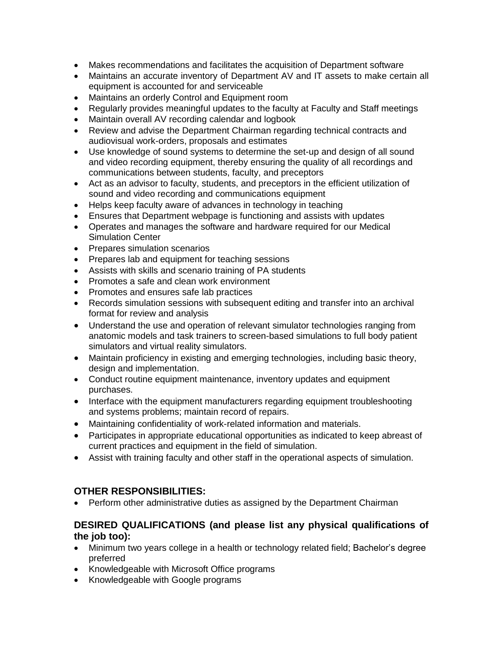- Makes recommendations and facilitates the acquisition of Department software
- Maintains an accurate inventory of Department AV and IT assets to make certain all equipment is accounted for and serviceable
- Maintains an orderly Control and Equipment room
- Regularly provides meaningful updates to the faculty at Faculty and Staff meetings
- Maintain overall AV recording calendar and logbook
- Review and advise the Department Chairman regarding technical contracts and audiovisual work-orders, proposals and estimates
- Use knowledge of sound systems to determine the set-up and design of all sound and video recording equipment, thereby ensuring the quality of all recordings and communications between students, faculty, and preceptors
- Act as an advisor to faculty, students, and preceptors in the efficient utilization of sound and video recording and communications equipment
- Helps keep faculty aware of advances in technology in teaching
- Ensures that Department webpage is functioning and assists with updates
- Operates and manages the software and hardware required for our Medical Simulation Center
- Prepares simulation scenarios
- Prepares lab and equipment for teaching sessions
- Assists with skills and scenario training of PA students
- Promotes a safe and clean work environment
- Promotes and ensures safe lab practices
- Records simulation sessions with subsequent editing and transfer into an archival format for review and analysis
- Understand the use and operation of relevant simulator technologies ranging from anatomic models and task trainers to screen-based simulations to full body patient simulators and virtual reality simulators.
- Maintain proficiency in existing and emerging technologies, including basic theory, design and implementation.
- Conduct routine equipment maintenance, inventory updates and equipment purchases.
- Interface with the equipment manufacturers regarding equipment troubleshooting and systems problems; maintain record of repairs.
- Maintaining confidentiality of work-related information and materials.
- Participates in appropriate educational opportunities as indicated to keep abreast of current practices and equipment in the field of simulation.
- Assist with training faculty and other staff in the operational aspects of simulation.

## **OTHER RESPONSIBILITIES:**

• Perform other administrative duties as assigned by the Department Chairman

### **DESIRED QUALIFICATIONS (and please list any physical qualifications of the job too):**

- Minimum two years college in a health or technology related field; Bachelor's degree preferred
- Knowledgeable with Microsoft Office programs
- Knowledgeable with Google programs